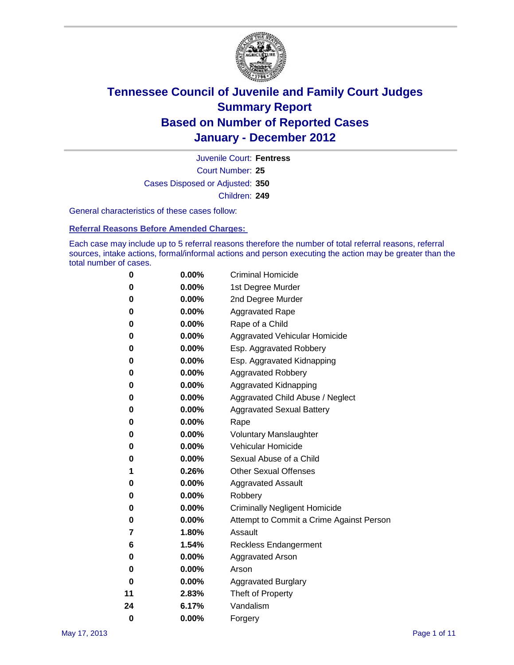

Court Number: **25** Juvenile Court: **Fentress** Cases Disposed or Adjusted: **350** Children: **249**

General characteristics of these cases follow:

**Referral Reasons Before Amended Charges:** 

Each case may include up to 5 referral reasons therefore the number of total referral reasons, referral sources, intake actions, formal/informal actions and person executing the action may be greater than the total number of cases.

| 0  | 0.00%    | <b>Criminal Homicide</b>                 |
|----|----------|------------------------------------------|
| 0  | 0.00%    | 1st Degree Murder                        |
| 0  | 0.00%    | 2nd Degree Murder                        |
| 0  | 0.00%    | <b>Aggravated Rape</b>                   |
| 0  | 0.00%    | Rape of a Child                          |
| 0  | 0.00%    | Aggravated Vehicular Homicide            |
| 0  | 0.00%    | Esp. Aggravated Robbery                  |
| 0  | 0.00%    | Esp. Aggravated Kidnapping               |
| 0  | 0.00%    | <b>Aggravated Robbery</b>                |
| 0  | 0.00%    | Aggravated Kidnapping                    |
| 0  | 0.00%    | Aggravated Child Abuse / Neglect         |
| 0  | 0.00%    | <b>Aggravated Sexual Battery</b>         |
| 0  | 0.00%    | Rape                                     |
| 0  | $0.00\%$ | <b>Voluntary Manslaughter</b>            |
| 0  | 0.00%    | Vehicular Homicide                       |
| 0  | 0.00%    | Sexual Abuse of a Child                  |
| 1  | 0.26%    | <b>Other Sexual Offenses</b>             |
| 0  | 0.00%    | <b>Aggravated Assault</b>                |
| 0  | $0.00\%$ | Robbery                                  |
| 0  | 0.00%    | <b>Criminally Negligent Homicide</b>     |
| 0  | 0.00%    | Attempt to Commit a Crime Against Person |
| 7  | 1.80%    | Assault                                  |
| 6  | 1.54%    | <b>Reckless Endangerment</b>             |
| 0  | 0.00%    | <b>Aggravated Arson</b>                  |
| 0  | 0.00%    | Arson                                    |
| 0  | 0.00%    | <b>Aggravated Burglary</b>               |
| 11 | 2.83%    | Theft of Property                        |
| 24 | 6.17%    | Vandalism                                |
| 0  | 0.00%    | Forgery                                  |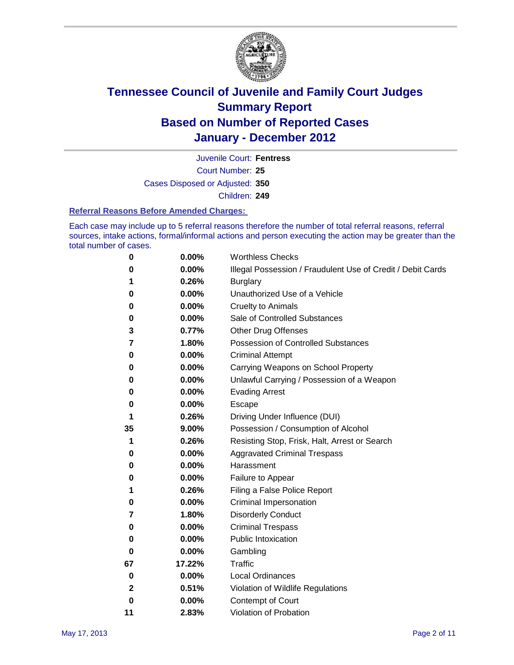

Court Number: **25** Juvenile Court: **Fentress** Cases Disposed or Adjusted: **350** Children: **249**

#### **Referral Reasons Before Amended Charges:**

Each case may include up to 5 referral reasons therefore the number of total referral reasons, referral sources, intake actions, formal/informal actions and person executing the action may be greater than the total number of cases.

| 0            | 0.00%    | <b>Worthless Checks</b>                                     |
|--------------|----------|-------------------------------------------------------------|
| 0            | 0.00%    | Illegal Possession / Fraudulent Use of Credit / Debit Cards |
| 1            | 0.26%    | <b>Burglary</b>                                             |
| 0            | 0.00%    | Unauthorized Use of a Vehicle                               |
| 0            | 0.00%    | <b>Cruelty to Animals</b>                                   |
| 0            | 0.00%    | Sale of Controlled Substances                               |
| 3            | 0.77%    | <b>Other Drug Offenses</b>                                  |
| 7            | 1.80%    | <b>Possession of Controlled Substances</b>                  |
| 0            | 0.00%    | <b>Criminal Attempt</b>                                     |
| 0            | 0.00%    | Carrying Weapons on School Property                         |
| 0            | 0.00%    | Unlawful Carrying / Possession of a Weapon                  |
| 0            | 0.00%    | <b>Evading Arrest</b>                                       |
| 0            | 0.00%    | Escape                                                      |
| 1            | 0.26%    | Driving Under Influence (DUI)                               |
| 35           | 9.00%    | Possession / Consumption of Alcohol                         |
| 1            | 0.26%    | Resisting Stop, Frisk, Halt, Arrest or Search               |
| 0            | 0.00%    | <b>Aggravated Criminal Trespass</b>                         |
| 0            | 0.00%    | Harassment                                                  |
| 0            | 0.00%    | Failure to Appear                                           |
| 1            | 0.26%    | Filing a False Police Report                                |
| 0            | 0.00%    | Criminal Impersonation                                      |
| 7            | 1.80%    | <b>Disorderly Conduct</b>                                   |
| 0            | 0.00%    | <b>Criminal Trespass</b>                                    |
| 0            | 0.00%    | Public Intoxication                                         |
| 0            | $0.00\%$ | Gambling                                                    |
| 67           | 17.22%   | Traffic                                                     |
| 0            | $0.00\%$ | <b>Local Ordinances</b>                                     |
| $\mathbf{2}$ | 0.51%    | Violation of Wildlife Regulations                           |
| 0            | $0.00\%$ | Contempt of Court                                           |
| 11           | 2.83%    | Violation of Probation                                      |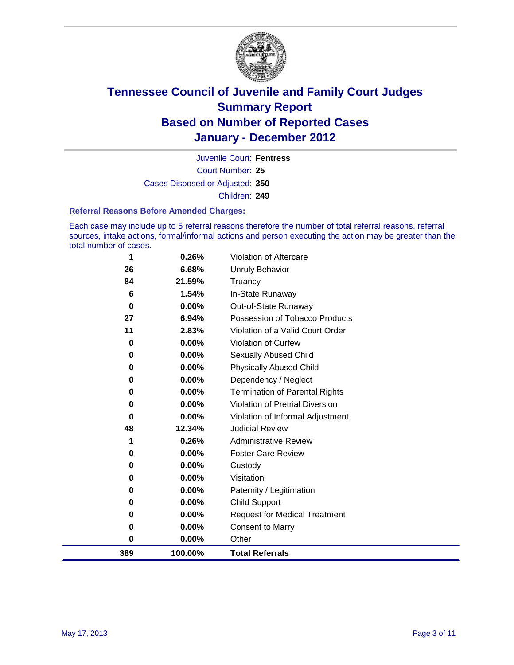

Court Number: **25** Juvenile Court: **Fentress** Cases Disposed or Adjusted: **350** Children: **249**

#### **Referral Reasons Before Amended Charges:**

Each case may include up to 5 referral reasons therefore the number of total referral reasons, referral sources, intake actions, formal/informal actions and person executing the action may be greater than the total number of cases.

|          |                                                           | Other                                                                                                                             |
|----------|-----------------------------------------------------------|-----------------------------------------------------------------------------------------------------------------------------------|
| 0        | 0.00%                                                     | <b>Consent to Marry</b>                                                                                                           |
| 0        | 0.00%                                                     | <b>Request for Medical Treatment</b>                                                                                              |
| 0        | 0.00%                                                     | <b>Child Support</b>                                                                                                              |
| $\bf{0}$ | 0.00%                                                     | Paternity / Legitimation                                                                                                          |
| 0        | 0.00%                                                     | Visitation                                                                                                                        |
| 0        | 0.00%                                                     | Custody                                                                                                                           |
| 0        | 0.00%                                                     | <b>Foster Care Review</b>                                                                                                         |
| 1        | 0.26%                                                     | <b>Administrative Review</b>                                                                                                      |
| 48       | 12.34%                                                    | <b>Judicial Review</b>                                                                                                            |
| $\bf{0}$ | 0.00%                                                     | Violation of Informal Adjustment                                                                                                  |
| 0        | 0.00%                                                     | <b>Violation of Pretrial Diversion</b>                                                                                            |
| 0        |                                                           | <b>Termination of Parental Rights</b>                                                                                             |
| 0        |                                                           | Dependency / Neglect                                                                                                              |
|          |                                                           | <b>Physically Abused Child</b>                                                                                                    |
|          |                                                           | <b>Sexually Abused Child</b>                                                                                                      |
|          |                                                           | <b>Violation of Curfew</b>                                                                                                        |
|          |                                                           | Violation of a Valid Court Order                                                                                                  |
|          |                                                           | Possession of Tobacco Products                                                                                                    |
|          |                                                           | Out-of-State Runaway                                                                                                              |
|          |                                                           | Truancy<br>In-State Runaway                                                                                                       |
|          |                                                           | Unruly Behavior                                                                                                                   |
|          |                                                           | Violation of Aftercare                                                                                                            |
|          | 1<br>26<br>84<br>6<br>0<br>27<br>11<br>0<br>0<br>$\bf{0}$ | 0.26%<br>6.68%<br>21.59%<br>1.54%<br>$0.00\%$<br>6.94%<br>2.83%<br>0.00%<br>0.00%<br>0.00%<br>0.00%<br>0.00%<br>$\bf{0}$<br>0.00% |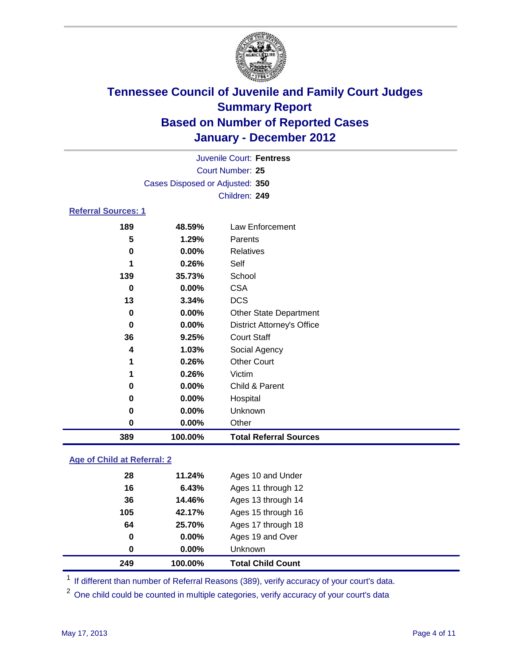

|                            | Juvenile Court: Fentress        |                                   |  |  |
|----------------------------|---------------------------------|-----------------------------------|--|--|
|                            | <b>Court Number: 25</b>         |                                   |  |  |
|                            | Cases Disposed or Adjusted: 350 |                                   |  |  |
|                            |                                 | Children: 249                     |  |  |
| <b>Referral Sources: 1</b> |                                 |                                   |  |  |
| 189                        | 48.59%                          | Law Enforcement                   |  |  |
| 5                          | 1.29%                           | Parents                           |  |  |
| $\bf{0}$                   | 0.00%                           | <b>Relatives</b>                  |  |  |
| 1                          | 0.26%                           | Self                              |  |  |
| 139                        | 35.73%                          | School                            |  |  |
| 0                          | 0.00%                           | <b>CSA</b>                        |  |  |
| 13                         | 3.34%                           | <b>DCS</b>                        |  |  |
| 0                          | 0.00%                           | <b>Other State Department</b>     |  |  |
| 0                          | 0.00%                           | <b>District Attorney's Office</b> |  |  |
| 36                         | 9.25%                           | <b>Court Staff</b>                |  |  |
| 4                          | 1.03%                           | Social Agency                     |  |  |
| 1                          | 0.26%                           | <b>Other Court</b>                |  |  |
| 1                          | 0.26%                           | Victim                            |  |  |
| 0                          | 0.00%                           | Child & Parent                    |  |  |
| 0                          | 0.00%                           | Hospital                          |  |  |
| 0                          | 0.00%                           | Unknown                           |  |  |
| 0                          | 0.00%                           | Other                             |  |  |
| 389                        | 100.00%                         | <b>Total Referral Sources</b>     |  |  |

### **Age of Child at Referral: 2**

| 249 | 100.00% | <b>Total Child Count</b> |
|-----|---------|--------------------------|
| 0   | 0.00%   | Unknown                  |
| 0   | 0.00%   | Ages 19 and Over         |
| 64  | 25.70%  | Ages 17 through 18       |
| 105 | 42.17%  | Ages 15 through 16       |
| 36  | 14.46%  | Ages 13 through 14       |
| 16  | 6.43%   | Ages 11 through 12       |
| 28  | 11.24%  | Ages 10 and Under        |
|     |         |                          |

<sup>1</sup> If different than number of Referral Reasons (389), verify accuracy of your court's data.

<sup>2</sup> One child could be counted in multiple categories, verify accuracy of your court's data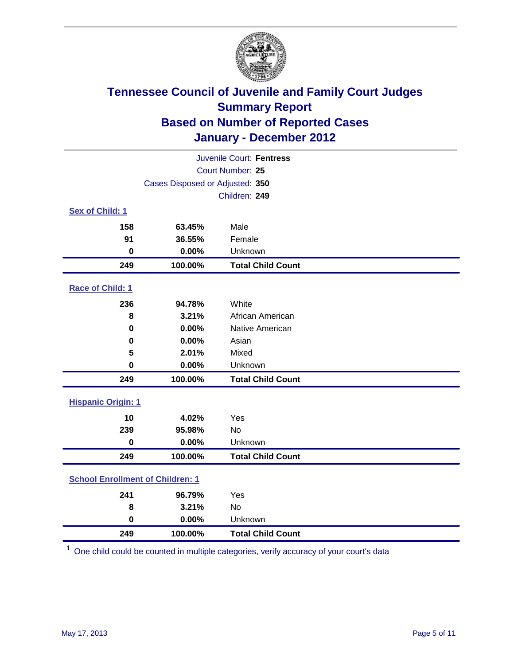

| Juvenile Court: Fentress                |                                 |                          |  |  |
|-----------------------------------------|---------------------------------|--------------------------|--|--|
|                                         | Court Number: 25                |                          |  |  |
|                                         | Cases Disposed or Adjusted: 350 |                          |  |  |
|                                         |                                 | Children: 249            |  |  |
| Sex of Child: 1                         |                                 |                          |  |  |
| 158                                     | 63.45%                          | Male                     |  |  |
| 91                                      | 36.55%                          | Female                   |  |  |
| $\mathbf 0$                             | 0.00%                           | Unknown                  |  |  |
| 249                                     | 100.00%                         | <b>Total Child Count</b> |  |  |
| Race of Child: 1                        |                                 |                          |  |  |
| 236                                     | 94.78%                          | White                    |  |  |
| 8                                       | 3.21%                           | African American         |  |  |
| 0                                       | 0.00%                           | Native American          |  |  |
| 0                                       | 0.00%                           | Asian                    |  |  |
| 5                                       | 2.01%                           | Mixed                    |  |  |
| $\pmb{0}$                               | 0.00%                           | Unknown                  |  |  |
| 249                                     | 100.00%                         | <b>Total Child Count</b> |  |  |
| <b>Hispanic Origin: 1</b>               |                                 |                          |  |  |
| 10                                      | 4.02%                           | Yes                      |  |  |
| 239                                     | 95.98%                          | <b>No</b>                |  |  |
| $\mathbf 0$                             | 0.00%                           | Unknown                  |  |  |
| 249                                     | 100.00%                         | <b>Total Child Count</b> |  |  |
| <b>School Enrollment of Children: 1</b> |                                 |                          |  |  |
| 241                                     | 96.79%                          | Yes                      |  |  |
| 8                                       | 3.21%                           | No                       |  |  |
| 0                                       | 0.00%                           | Unknown                  |  |  |
| 249                                     | 100.00%                         | <b>Total Child Count</b> |  |  |

One child could be counted in multiple categories, verify accuracy of your court's data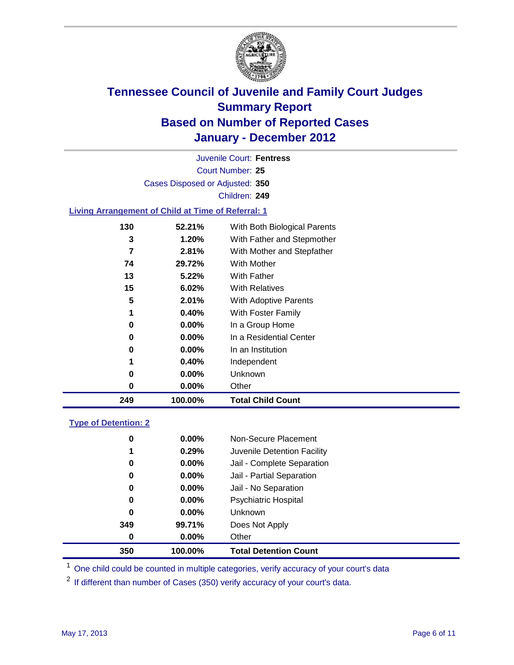

Court Number: **25** Juvenile Court: **Fentress** Cases Disposed or Adjusted: **350** Children: **249**

#### **Living Arrangement of Child at Time of Referral: 1**

| 249 | 100.00%  | <b>Total Child Count</b>     |
|-----|----------|------------------------------|
| 0   | 0.00%    | Other                        |
| 0   | $0.00\%$ | <b>Unknown</b>               |
| 1   | 0.40%    | Independent                  |
| 0   | 0.00%    | In an Institution            |
| 0   | $0.00\%$ | In a Residential Center      |
| 0   | $0.00\%$ | In a Group Home              |
| 1   | 0.40%    | With Foster Family           |
| 5   | 2.01%    | With Adoptive Parents        |
| 15  | 6.02%    | <b>With Relatives</b>        |
| 13  | 5.22%    | With Father                  |
| 74  | 29.72%   | With Mother                  |
| 7   | 2.81%    | With Mother and Stepfather   |
| 3   | 1.20%    | With Father and Stepmother   |
| 130 | 52.21%   | With Both Biological Parents |

#### **Type of Detention: 2**

| 350              | 100.00%  | <b>Total Detention Count</b> |
|------------------|----------|------------------------------|
| $\boldsymbol{0}$ | $0.00\%$ | Other                        |
| 349              | 99.71%   | Does Not Apply               |
| $\bf{0}$         | $0.00\%$ | <b>Unknown</b>               |
| 0                | 0.00%    | <b>Psychiatric Hospital</b>  |
| 0                | 0.00%    | Jail - No Separation         |
| 0                | $0.00\%$ | Jail - Partial Separation    |
| 0                | $0.00\%$ | Jail - Complete Separation   |
| 1                | 0.29%    | Juvenile Detention Facility  |
| 0                | $0.00\%$ | Non-Secure Placement         |
|                  |          |                              |

<sup>1</sup> One child could be counted in multiple categories, verify accuracy of your court's data

<sup>2</sup> If different than number of Cases (350) verify accuracy of your court's data.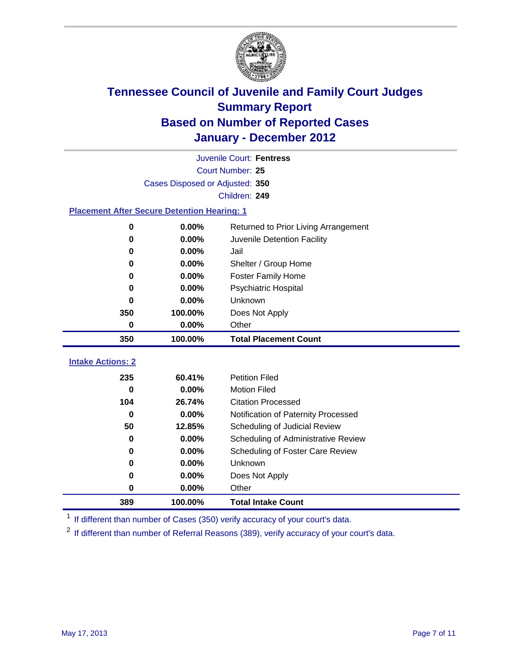

|                                                    | Juvenile Court: Fentress        |                                      |  |  |  |
|----------------------------------------------------|---------------------------------|--------------------------------------|--|--|--|
|                                                    | Court Number: 25                |                                      |  |  |  |
|                                                    | Cases Disposed or Adjusted: 350 |                                      |  |  |  |
|                                                    |                                 | Children: 249                        |  |  |  |
| <b>Placement After Secure Detention Hearing: 1</b> |                                 |                                      |  |  |  |
| 0                                                  | 0.00%                           | Returned to Prior Living Arrangement |  |  |  |
| 0                                                  | 0.00%                           | Juvenile Detention Facility          |  |  |  |
| 0                                                  | 0.00%                           | Jail                                 |  |  |  |
| 0                                                  | 0.00%                           | Shelter / Group Home                 |  |  |  |
| 0                                                  | 0.00%                           | <b>Foster Family Home</b>            |  |  |  |
| 0                                                  | 0.00%                           | Psychiatric Hospital                 |  |  |  |
| 0                                                  | 0.00%                           | Unknown                              |  |  |  |
| 350                                                | 100.00%                         | Does Not Apply                       |  |  |  |
| 0                                                  | 0.00%                           | Other                                |  |  |  |
| 350                                                | 100.00%                         | <b>Total Placement Count</b>         |  |  |  |
|                                                    |                                 |                                      |  |  |  |
| <b>Intake Actions: 2</b>                           |                                 |                                      |  |  |  |
| 235                                                | 60.41%                          | <b>Petition Filed</b>                |  |  |  |
| 0                                                  | 0.00%                           | <b>Motion Filed</b>                  |  |  |  |
| 104                                                | 26.74%                          | <b>Citation Processed</b>            |  |  |  |
| $\bf{0}$                                           | 0.00%                           | Notification of Paternity Processed  |  |  |  |
| 50                                                 | 12.85%                          | Scheduling of Judicial Review        |  |  |  |
| 0                                                  | 0.00%                           | Scheduling of Administrative Review  |  |  |  |
| 0                                                  | 0.00%                           | Scheduling of Foster Care Review     |  |  |  |
| 0                                                  | 0.00%                           | Unknown                              |  |  |  |
| 0                                                  | 0.00%                           | Does Not Apply                       |  |  |  |
| 0                                                  | 0.00%                           | Other                                |  |  |  |
| 389                                                | 100.00%                         | <b>Total Intake Count</b>            |  |  |  |

<sup>1</sup> If different than number of Cases (350) verify accuracy of your court's data.

<sup>2</sup> If different than number of Referral Reasons (389), verify accuracy of your court's data.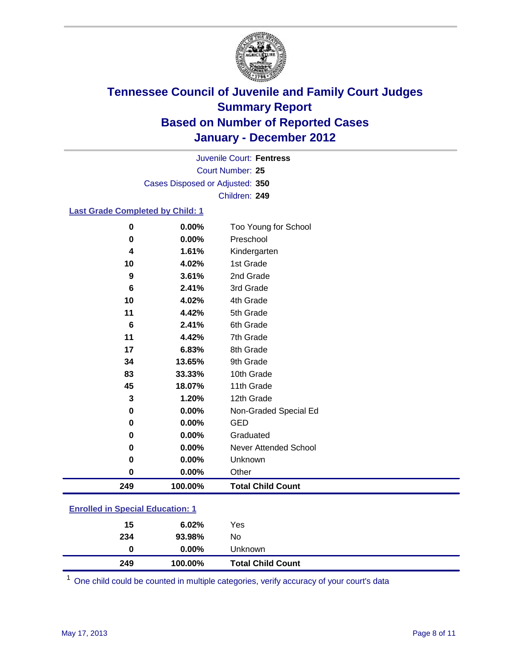

Court Number: **25** Juvenile Court: **Fentress** Cases Disposed or Adjusted: **350** Children: **249**

### **Last Grade Completed by Child: 1**

| 249         | 100.00%  | <b>Total Child Count</b> |
|-------------|----------|--------------------------|
| $\mathbf 0$ | $0.00\%$ | Other                    |
| 0           | $0.00\%$ | Unknown                  |
| 0           | 0.00%    | Never Attended School    |
| $\mathbf 0$ | 0.00%    | Graduated                |
| 0           | 0.00%    | <b>GED</b>               |
| $\mathbf 0$ | 0.00%    | Non-Graded Special Ed    |
| 3           | 1.20%    | 12th Grade               |
| 45          | 18.07%   | 11th Grade               |
| 83          | 33.33%   | 10th Grade               |
| 34          | 13.65%   | 9th Grade                |
| 17          | 6.83%    | 8th Grade                |
| 11          | 4.42%    | 7th Grade                |
| 6           | 2.41%    | 6th Grade                |
| 11          | 4.42%    | 5th Grade                |
| 10          | 4.02%    | 4th Grade                |
| 6           | 2.41%    | 3rd Grade                |
| 9           | 3.61%    | 2nd Grade                |
| 10          | 4.02%    | 1st Grade                |
| 4           | 1.61%    | Kindergarten             |
| $\bf{0}$    | 0.00%    | Preschool                |
| $\bf{0}$    | 0.00%    | Too Young for School     |

### **Enrolled in Special Education: 1**

| 249 | 100.00%  | <b>Total Child Count</b> |  |
|-----|----------|--------------------------|--|
| 0   | $0.00\%$ | Unknown                  |  |
| 234 | 93.98%   | No                       |  |
| 15  | 6.02%    | Yes                      |  |
|     |          |                          |  |

One child could be counted in multiple categories, verify accuracy of your court's data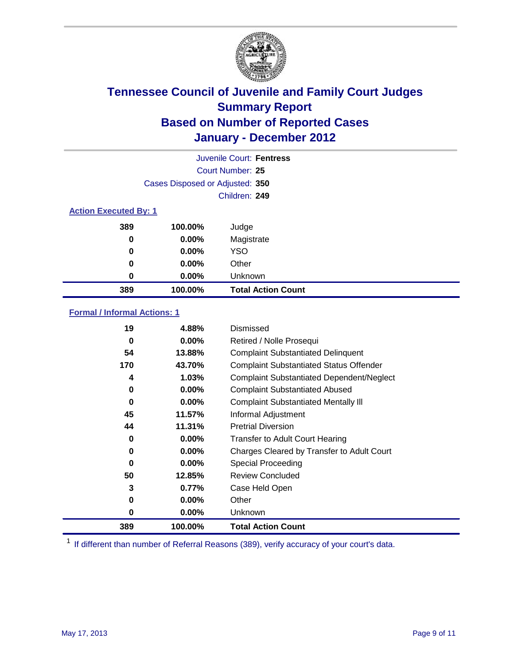

|                              | Juvenile Court: Fentress        |                           |  |  |
|------------------------------|---------------------------------|---------------------------|--|--|
|                              | Court Number: 25                |                           |  |  |
|                              | Cases Disposed or Adjusted: 350 |                           |  |  |
|                              |                                 | Children: 249             |  |  |
| <b>Action Executed By: 1</b> |                                 |                           |  |  |
| 389                          | 100.00%                         | Judge                     |  |  |
| $\bf{0}$                     | $0.00\%$                        | Magistrate                |  |  |
| $\bf{0}$                     | $0.00\%$                        | <b>YSO</b>                |  |  |
| 0                            | $0.00\%$                        | Other                     |  |  |
| 0                            | 0.00%                           | Unknown                   |  |  |
| 389                          | 100.00%                         | <b>Total Action Count</b> |  |  |

### **Formal / Informal Actions: 1**

| 19       | 4.88%    | Dismissed                                        |
|----------|----------|--------------------------------------------------|
| 0        | $0.00\%$ | Retired / Nolle Prosequi                         |
| 54       | 13.88%   | <b>Complaint Substantiated Delinquent</b>        |
| 170      | 43.70%   | <b>Complaint Substantiated Status Offender</b>   |
| 4        | 1.03%    | <b>Complaint Substantiated Dependent/Neglect</b> |
| 0        | 0.00%    | <b>Complaint Substantiated Abused</b>            |
| $\bf{0}$ | $0.00\%$ | <b>Complaint Substantiated Mentally III</b>      |
| 45       | 11.57%   | Informal Adjustment                              |
| 44       | 11.31%   | <b>Pretrial Diversion</b>                        |
| 0        | $0.00\%$ | <b>Transfer to Adult Court Hearing</b>           |
| 0        | 0.00%    | Charges Cleared by Transfer to Adult Court       |
| 0        | $0.00\%$ | Special Proceeding                               |
| 50       | 12.85%   | <b>Review Concluded</b>                          |
| 3        | 0.77%    | Case Held Open                                   |
| 0        | $0.00\%$ | Other                                            |
| 0        | $0.00\%$ | <b>Unknown</b>                                   |
| 389      | 100.00%  | <b>Total Action Count</b>                        |

<sup>1</sup> If different than number of Referral Reasons (389), verify accuracy of your court's data.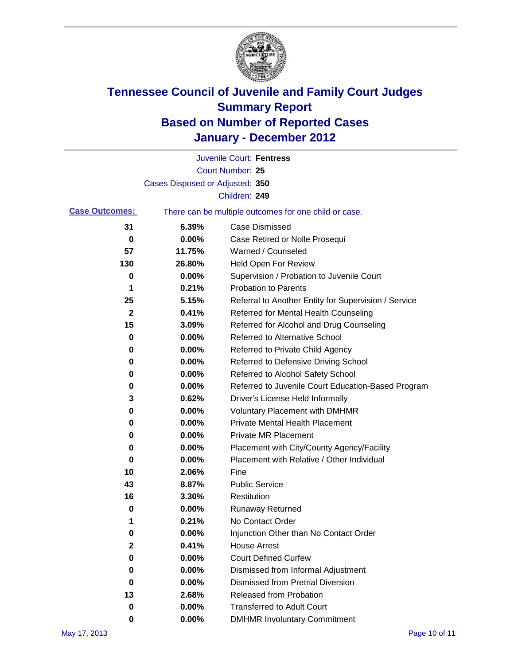

|                       |                                 | Juvenile Court: Fentress                              |
|-----------------------|---------------------------------|-------------------------------------------------------|
|                       |                                 | Court Number: 25                                      |
|                       | Cases Disposed or Adjusted: 350 |                                                       |
|                       |                                 | Children: 249                                         |
| <b>Case Outcomes:</b> |                                 | There can be multiple outcomes for one child or case. |
| 31                    | 6.39%                           | <b>Case Dismissed</b>                                 |
| 0                     | 0.00%                           | Case Retired or Nolle Prosequi                        |
| 57                    | 11.75%                          | Warned / Counseled                                    |
| 130                   | 26.80%                          | <b>Held Open For Review</b>                           |
| 0                     | 0.00%                           | Supervision / Probation to Juvenile Court             |
| 1                     | 0.21%                           | <b>Probation to Parents</b>                           |
| 25                    | 5.15%                           | Referral to Another Entity for Supervision / Service  |
| $\mathbf 2$           | 0.41%                           | Referred for Mental Health Counseling                 |
| 15                    | 3.09%                           | Referred for Alcohol and Drug Counseling              |
| 0                     | 0.00%                           | <b>Referred to Alternative School</b>                 |
| 0                     | 0.00%                           | Referred to Private Child Agency                      |
| 0                     | 0.00%                           | Referred to Defensive Driving School                  |
| 0                     | 0.00%                           | Referred to Alcohol Safety School                     |
| 0                     | 0.00%                           | Referred to Juvenile Court Education-Based Program    |
| 3                     | 0.62%                           | Driver's License Held Informally                      |
| 0                     | 0.00%                           | <b>Voluntary Placement with DMHMR</b>                 |
| 0                     | 0.00%                           | <b>Private Mental Health Placement</b>                |
| 0                     | 0.00%                           | <b>Private MR Placement</b>                           |
| 0                     | 0.00%                           | Placement with City/County Agency/Facility            |
| 0                     | 0.00%                           | Placement with Relative / Other Individual            |
| 10                    | 2.06%                           | Fine                                                  |
| 43                    | 8.87%                           | <b>Public Service</b>                                 |
| 16                    | 3.30%                           | Restitution                                           |
| 0                     | 0.00%                           | <b>Runaway Returned</b>                               |
| 1                     | 0.21%                           | No Contact Order                                      |
| 0                     | 0.00%                           | Injunction Other than No Contact Order                |
| $\mathbf 2$           | 0.41%                           | <b>House Arrest</b>                                   |
| 0                     | 0.00%                           | <b>Court Defined Curfew</b>                           |
| 0                     | 0.00%                           | Dismissed from Informal Adjustment                    |
| 0                     | 0.00%                           | <b>Dismissed from Pretrial Diversion</b>              |
| 13                    | 2.68%                           | Released from Probation                               |
| 0                     | 0.00%                           | <b>Transferred to Adult Court</b>                     |
| 0                     | $0.00\%$                        | <b>DMHMR Involuntary Commitment</b>                   |